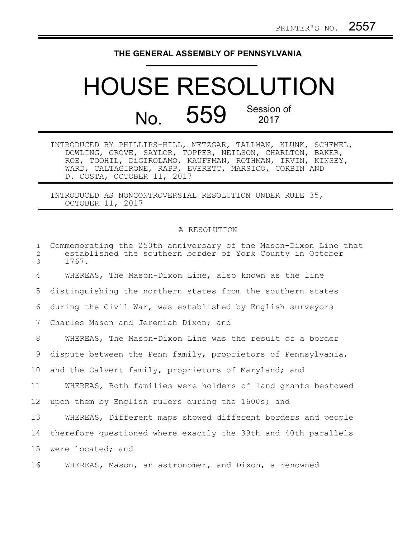## **THE GENERAL ASSEMBLY OF PENNSYLVANIA**

## HOUSE RESOLUTION No. 559 Session of

INTRODUCED BY PHILLIPS-HILL, METZGAR, TALLMAN, KLUNK, SCHEMEL, DOWLING, GROVE, SAYLOR, TOPPER, NEILSON, CHARLTON, BAKER, ROE, TOOHIL, DiGIROLAMO, KAUFFMAN, ROTHMAN, IRVIN, KINSEY, WARD, CALTAGIRONE, RAPP, EVERETT, MARSICO, CORBIN AND D. COSTA, OCTOBER 11, 2017

INTRODUCED AS NONCONTROVERSIAL RESOLUTION UNDER RULE 35, OCTOBER 11, 2017

## A RESOLUTION

| $\mathbf{1}$<br>$\mathbf{2}$<br>3 | Commemorating the 250th anniversary of the Mason-Dixon Line that<br>established the southern border of York County in October<br>1767. |
|-----------------------------------|----------------------------------------------------------------------------------------------------------------------------------------|
| 4                                 | WHEREAS, The Mason-Dixon Line, also known as the line                                                                                  |
| 5                                 | distinguishing the northern states from the southern states                                                                            |
| 6                                 | during the Civil War, was established by English surveyors                                                                             |
| 7                                 | Charles Mason and Jeremiah Dixon; and                                                                                                  |
| 8                                 | WHEREAS, The Mason-Dixon Line was the result of a border                                                                               |
| 9                                 | dispute between the Penn family, proprietors of Pennsylvania,                                                                          |
| 10 <sub>o</sub>                   | and the Calvert family, proprietors of Maryland; and                                                                                   |
| 11                                | WHEREAS, Both families were holders of land grants bestowed                                                                            |
| 12                                | upon them by English rulers during the 1600s; and                                                                                      |
| 13                                | WHEREAS, Different maps showed different borders and people                                                                            |
| 14                                | therefore questioned where exactly the 39th and 40th parallels                                                                         |
| 15                                | were located; and                                                                                                                      |
| 16                                | WHEREAS, Mason, an astronomer, and Dixon, a renowned                                                                                   |